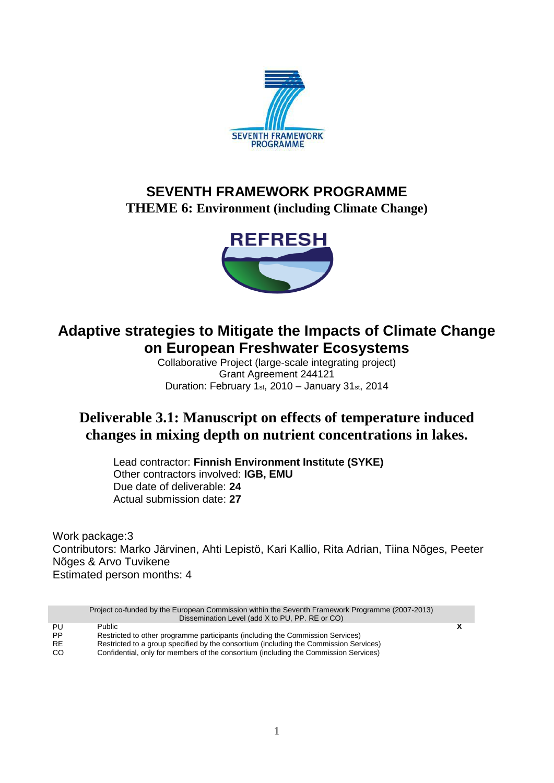

# **SEVENTH FRAMEWORK PROGRAMME THEME 6: Environment (including Climate Change)**



# **Adaptive strategies to Mitigate the Impacts of Climate Change on European Freshwater Ecosystems**

Collaborative Project (large-scale integrating project) Grant Agreement 244121 Duration: February 1st, 2010 – January 31st, 2014

# **Deliverable 3.1: Manuscript on effects of temperature induced changes in mixing depth on nutrient concentrations in lakes.**

Lead contractor: **Finnish Environment Institute (SYKE)** Other contractors involved: **IGB, EMU** Due date of deliverable: **24** Actual submission date: **27**

Work package:3 Contributors: Marko Järvinen, Ahti Lepistö, Kari Kallio, Rita Adrian, Tiina Nõges, Peeter Nõges & Arvo Tuvikene Estimated person months: 4

|           | Project co-funded by the European Commission within the Seventh Framework Programme (2007-2013)<br>Dissemination Level (add X to PU, PP. RE or CO) |   |
|-----------|----------------------------------------------------------------------------------------------------------------------------------------------------|---|
| PU        | <b>Public</b>                                                                                                                                      | X |
| <b>PP</b> | Restricted to other programme participants (including the Commission Services)                                                                     |   |
| RE.       | Restricted to a group specified by the consortium (including the Commission Services)                                                              |   |
| CO.       | Confidential, only for members of the consortium (including the Commission Services)                                                               |   |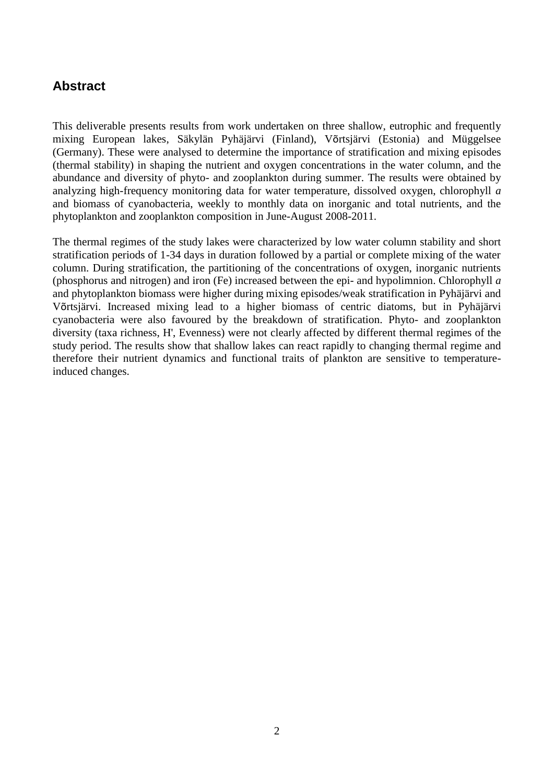## **Abstract**

This deliverable presents results from work undertaken on three shallow, eutrophic and frequently mixing European lakes, Säkylän Pyhäjärvi (Finland), Võrtsjärvi (Estonia) and Müggelsee (Germany). These were analysed to determine the importance of stratification and mixing episodes (thermal stability) in shaping the nutrient and oxygen concentrations in the water column, and the abundance and diversity of phyto- and zooplankton during summer. The results were obtained by analyzing high-frequency monitoring data for water temperature, dissolved oxygen, chlorophyll *a* and biomass of cyanobacteria, weekly to monthly data on inorganic and total nutrients, and the phytoplankton and zooplankton composition in June-August 2008-2011.

The thermal regimes of the study lakes were characterized by low water column stability and short stratification periods of 1-34 days in duration followed by a partial or complete mixing of the water column. During stratification, the partitioning of the concentrations of oxygen, inorganic nutrients (phosphorus and nitrogen) and iron (Fe) increased between the epi- and hypolimnion. Chlorophyll *a* and phytoplankton biomass were higher during mixing episodes/weak stratification in Pyhäjärvi and Võrtsjärvi. Increased mixing lead to a higher biomass of centric diatoms, but in Pyhäjärvi cyanobacteria were also favoured by the breakdown of stratification. Phyto- and zooplankton diversity (taxa richness, H', Evenness) were not clearly affected by different thermal regimes of the study period. The results show that shallow lakes can react rapidly to changing thermal regime and therefore their nutrient dynamics and functional traits of plankton are sensitive to temperatureinduced changes.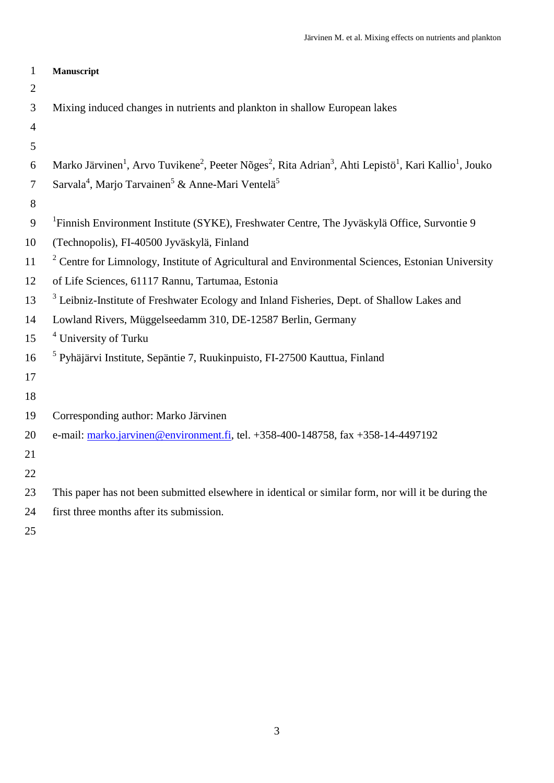| $\mathbf{1}$   | Manuscript                                                                                                                                                                     |
|----------------|--------------------------------------------------------------------------------------------------------------------------------------------------------------------------------|
| $\overline{2}$ |                                                                                                                                                                                |
| 3              | Mixing induced changes in nutrients and plankton in shallow European lakes                                                                                                     |
| $\overline{4}$ |                                                                                                                                                                                |
| 5              |                                                                                                                                                                                |
| 6              | Marko Järvinen <sup>1</sup> , Arvo Tuvikene <sup>2</sup> , Peeter Nõges <sup>2</sup> , Rita Adrian <sup>3</sup> , Ahti Lepistö <sup>1</sup> , Kari Kallio <sup>1</sup> , Jouko |
| $\overline{7}$ | Sarvala <sup>4</sup> , Marjo Tarvainen <sup>5</sup> & Anne-Mari Ventelä <sup>5</sup>                                                                                           |
| 8              |                                                                                                                                                                                |
| 9              | <sup>1</sup> Finnish Environment Institute (SYKE), Freshwater Centre, The Jyväskylä Office, Survontie 9                                                                        |
| 10             | (Technopolis), FI-40500 Jyväskylä, Finland                                                                                                                                     |
| 11             | <sup>2</sup> Centre for Limnology, Institute of Agricultural and Environmental Sciences, Estonian University                                                                   |
| 12             | of Life Sciences, 61117 Rannu, Tartumaa, Estonia                                                                                                                               |
| 13             | <sup>3</sup> Leibniz-Institute of Freshwater Ecology and Inland Fisheries, Dept. of Shallow Lakes and                                                                          |
| 14             | Lowland Rivers, Müggelseedamm 310, DE-12587 Berlin, Germany                                                                                                                    |
| 15             | <sup>4</sup> University of Turku                                                                                                                                               |
| 16             | <sup>5</sup> Pyhäjärvi Institute, Sepäntie 7, Ruukinpuisto, FI-27500 Kauttua, Finland                                                                                          |
| 17             |                                                                                                                                                                                |
| 18             |                                                                                                                                                                                |
| 19             | Corresponding author: Marko Järvinen                                                                                                                                           |
| 20             | e-mail: marko.jarvinen@environment.fi, tel. +358-400-148758, fax +358-14-4497192                                                                                               |
| 21             |                                                                                                                                                                                |
| 22             |                                                                                                                                                                                |
| 23             | This paper has not been submitted elsewhere in identical or similar form, nor will it be during the                                                                            |
| 24             | first three months after its submission.                                                                                                                                       |
| $\sim$ $\sim$  |                                                                                                                                                                                |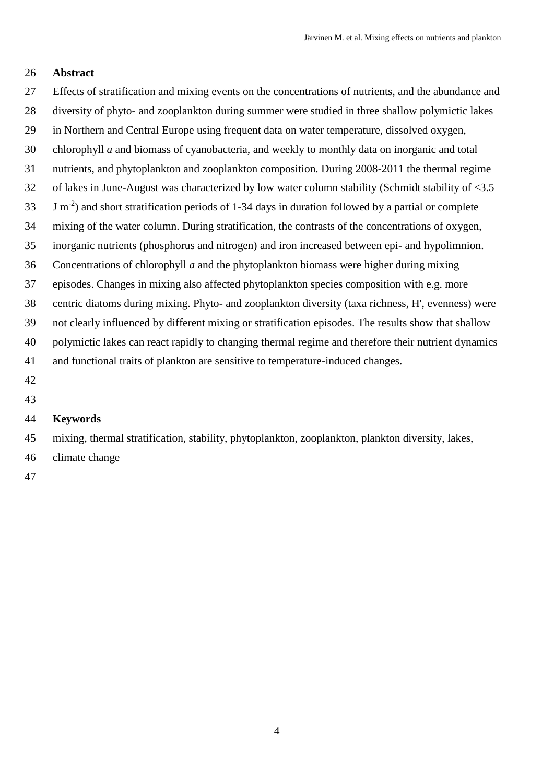### **Abstract**

 Effects of stratification and mixing events on the concentrations of nutrients, and the abundance and diversity of phyto- and zooplankton during summer were studied in three shallow polymictic lakes in Northern and Central Europe using frequent data on water temperature, dissolved oxygen, chlorophyll *a* and biomass of cyanobacteria, and weekly to monthly data on inorganic and total nutrients, and phytoplankton and zooplankton composition. During 2008-2011 the thermal regime of lakes in June-August was characterized by low water column stability (Schmidt stability of <3.5 J m<sup>-2</sup>) and short stratification periods of 1-34 days in duration followed by a partial or complete mixing of the water column. During stratification, the contrasts of the concentrations of oxygen, inorganic nutrients (phosphorus and nitrogen) and iron increased between epi- and hypolimnion. Concentrations of chlorophyll *a* and the phytoplankton biomass were higher during mixing episodes. Changes in mixing also affected phytoplankton species composition with e.g. more centric diatoms during mixing. Phyto- and zooplankton diversity (taxa richness, H', evenness) were not clearly influenced by different mixing or stratification episodes. The results show that shallow polymictic lakes can react rapidly to changing thermal regime and therefore their nutrient dynamics and functional traits of plankton are sensitive to temperature-induced changes. 

### **Keywords**

 mixing, thermal stratification, stability, phytoplankton, zooplankton, plankton diversity, lakes, climate change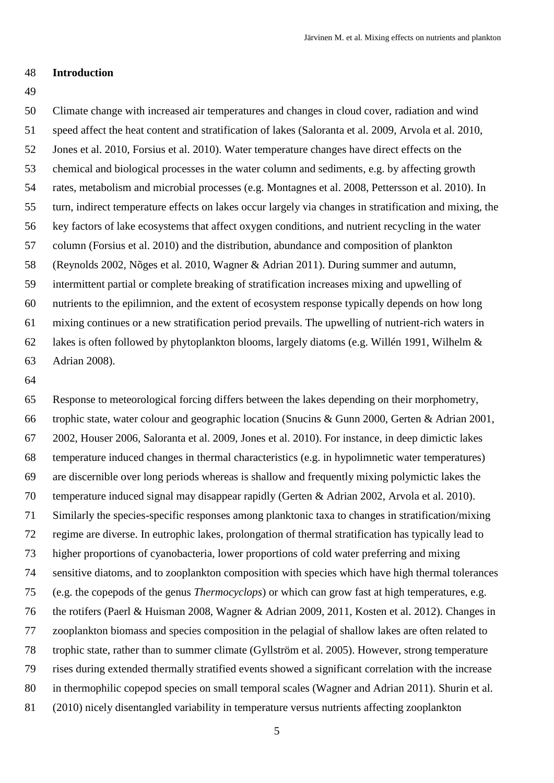#### **Introduction**

 Climate change with increased air temperatures and changes in cloud cover, radiation and wind speed affect the heat content and stratification of lakes (Saloranta et al. 2009, Arvola et al. 2010, Jones et al. 2010, Forsius et al. 2010). Water temperature changes have direct effects on the chemical and biological processes in the water column and sediments, e.g. by affecting growth rates, metabolism and microbial processes (e.g. Montagnes et al. 2008, Pettersson et al. 2010). In turn, indirect temperature effects on lakes occur largely via changes in stratification and mixing, the key factors of lake ecosystems that affect oxygen conditions, and nutrient recycling in the water column (Forsius et al. 2010) and the distribution, abundance and composition of plankton (Reynolds 2002, Nõges et al. 2010, Wagner & Adrian 2011). During summer and autumn, intermittent partial or complete breaking of stratification increases mixing and upwelling of nutrients to the epilimnion, and the extent of ecosystem response typically depends on how long mixing continues or a new stratification period prevails. The upwelling of nutrient-rich waters in lakes is often followed by phytoplankton blooms, largely diatoms (e.g. Willén 1991, Wilhelm & Adrian 2008).

 Response to meteorological forcing differs between the lakes depending on their morphometry, trophic state, water colour and geographic location (Snucins & Gunn 2000, Gerten & Adrian 2001, 2002, Houser 2006, Saloranta et al. 2009, Jones et al. 2010). For instance, in deep dimictic lakes temperature induced changes in thermal characteristics (e.g. in hypolimnetic water temperatures) are discernible over long periods whereas is shallow and frequently mixing polymictic lakes the temperature induced signal may disappear rapidly (Gerten & Adrian 2002, Arvola et al. 2010). Similarly the species-specific responses among planktonic taxa to changes in stratification/mixing regime are diverse. In eutrophic lakes, prolongation of thermal stratification has typically lead to higher proportions of cyanobacteria, lower proportions of cold water preferring and mixing sensitive diatoms, and to zooplankton composition with species which have high thermal tolerances (e.g. the copepods of the genus *Thermocyclops*) or which can grow fast at high temperatures, e.g. the rotifers (Paerl & Huisman 2008, Wagner & Adrian 2009, 2011, Kosten et al. 2012). Changes in zooplankton biomass and species composition in the pelagial of shallow lakes are often related to trophic state, rather than to summer climate (Gyllström et al. 2005). However, strong temperature rises during extended thermally stratified events showed a significant correlation with the increase in thermophilic copepod species on small temporal scales (Wagner and Adrian 2011). Shurin et al. (2010) nicely disentangled variability in temperature versus nutrients affecting zooplankton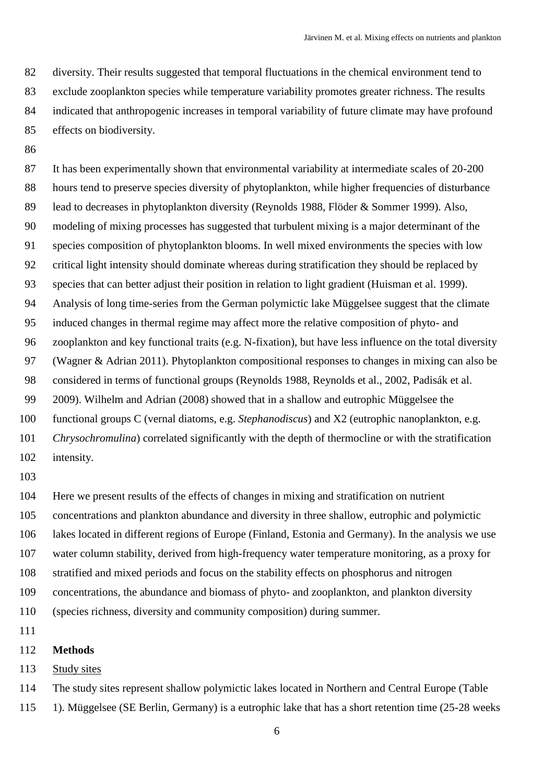diversity. Their results suggested that temporal fluctuations in the chemical environment tend to exclude zooplankton species while temperature variability promotes greater richness. The results indicated that anthropogenic increases in temporal variability of future climate may have profound effects on biodiversity.

 It has been experimentally shown that environmental variability at intermediate scales of 20-200 hours tend to preserve species diversity of phytoplankton, while higher frequencies of disturbance lead to decreases in phytoplankton diversity (Reynolds 1988, Flöder & Sommer 1999). Also, modeling of mixing processes has suggested that turbulent mixing is a major determinant of the species composition of phytoplankton blooms. In well mixed environments the species with low critical light intensity should dominate whereas during stratification they should be replaced by species that can better adjust their position in relation to light gradient (Huisman et al. 1999). Analysis of long time-series from the German polymictic lake Müggelsee suggest that the climate induced changes in thermal regime may affect more the relative composition of phyto- and zooplankton and key functional traits (e.g. N-fixation), but have less influence on the total diversity (Wagner & Adrian 2011). Phytoplankton compositional responses to changes in mixing can also be considered in terms of functional groups (Reynolds 1988, Reynolds et al., 2002, Padisák et al. 2009). Wilhelm and Adrian (2008) showed that in a shallow and eutrophic Müggelsee the functional groups C (vernal diatoms, e.g. *Stephanodiscus*) and X2 (eutrophic nanoplankton, e.g. *Chrysochromulina*) correlated significantly with the depth of thermocline or with the stratification intensity.

 Here we present results of the effects of changes in mixing and stratification on nutrient concentrations and plankton abundance and diversity in three shallow, eutrophic and polymictic lakes located in different regions of Europe (Finland, Estonia and Germany). In the analysis we use water column stability, derived from high-frequency water temperature monitoring, as a proxy for stratified and mixed periods and focus on the stability effects on phosphorus and nitrogen concentrations, the abundance and biomass of phyto- and zooplankton, and plankton diversity (species richness, diversity and community composition) during summer.

- 
- **Methods**

113 Study sites

 The study sites represent shallow polymictic lakes located in Northern and Central Europe (Table 1). Müggelsee (SE Berlin, Germany) is a eutrophic lake that has a short retention time (25-28 weeks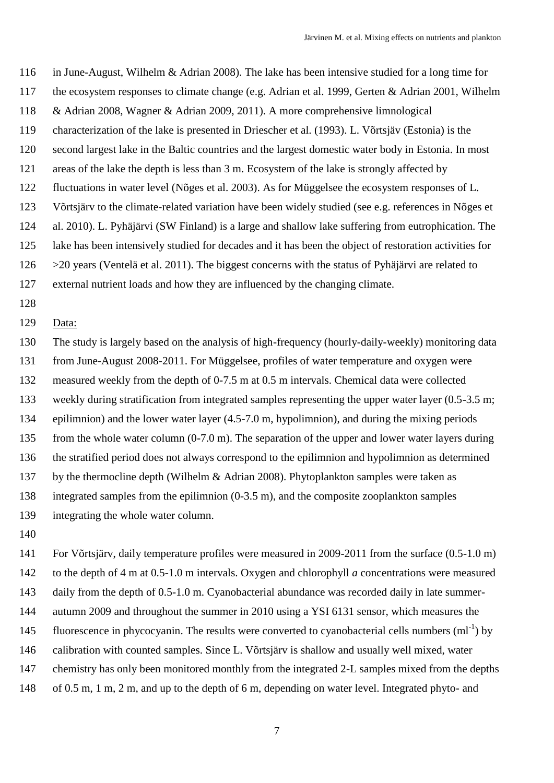in June-August, Wilhelm & Adrian 2008). The lake has been intensive studied for a long time for the ecosystem responses to climate change (e.g. Adrian et al. 1999, Gerten & Adrian 2001, Wilhelm & Adrian 2008, Wagner & Adrian 2009, 2011). A more comprehensive limnological characterization of the lake is presented in Driescher et al. (1993). L. Võrtsjäv (Estonia) is the second largest lake in the Baltic countries and the largest domestic water body in Estonia. In most areas of the lake the depth is less than 3 m. Ecosystem of the lake is strongly affected by fluctuations in water level (Nõges et al. 2003). As for Müggelsee the ecosystem responses of L. Võrtsjärv to the climate-related variation have been widely studied (see e.g. references in Nõges et al. 2010). L. Pyhäjärvi (SW Finland) is a large and shallow lake suffering from eutrophication. The lake has been intensively studied for decades and it has been the object of restoration activities for >20 years (Ventelä et al. 2011). The biggest concerns with the status of Pyhäjärvi are related to external nutrient loads and how they are influenced by the changing climate.

#### Data:

 The study is largely based on the analysis of high-frequency (hourly-daily-weekly) monitoring data from June-August 2008-2011. For Müggelsee, profiles of water temperature and oxygen were measured weekly from the depth of 0-7.5 m at 0.5 m intervals. Chemical data were collected weekly during stratification from integrated samples representing the upper water layer (0.5-3.5 m; epilimnion) and the lower water layer (4.5-7.0 m, hypolimnion), and during the mixing periods from the whole water column (0-7.0 m). The separation of the upper and lower water layers during the stratified period does not always correspond to the epilimnion and hypolimnion as determined by the thermocline depth (Wilhelm & Adrian 2008). Phytoplankton samples were taken as integrated samples from the epilimnion (0-3.5 m), and the composite zooplankton samples integrating the whole water column.

 For Võrtsjärv, daily temperature profiles were measured in 2009-2011 from the surface (0.5-1.0 m) to the depth of 4 m at 0.5-1.0 m intervals. Oxygen and chlorophyll *a* concentrations were measured daily from the depth of 0.5-1.0 m. Cyanobacterial abundance was recorded daily in late summer- autumn 2009 and throughout the summer in 2010 using a YSI 6131 sensor, which measures the 145 fluorescence in phycocyanin. The results were converted to cyanobacterial cells numbers  $(ml^{-1})$  by calibration with counted samples. Since L. Võrtsjärv is shallow and usually well mixed, water 147 chemistry has only been monitored monthly from the integrated 2-L samples mixed from the depths of 0.5 m, 1 m, 2 m, and up to the depth of 6 m, depending on water level. Integrated phyto- and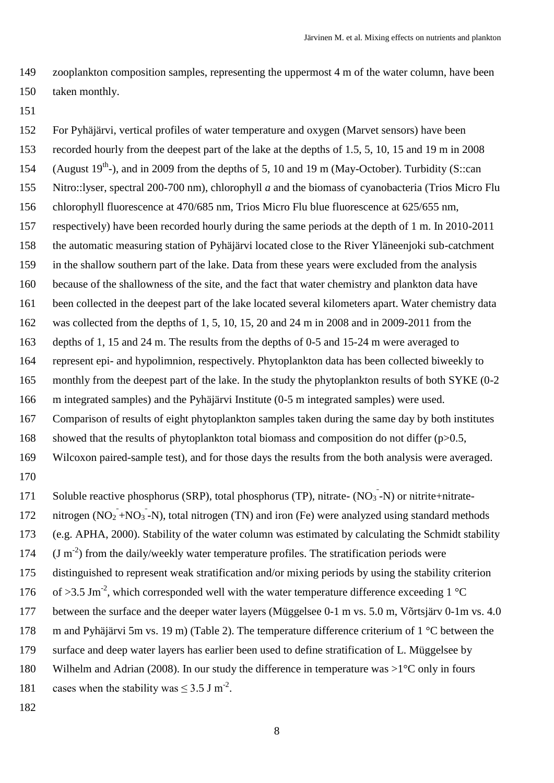zooplankton composition samples, representing the uppermost 4 m of the water column, have been taken monthly.

For Pyhäjärvi, vertical profiles of water temperature and oxygen (Marvet sensors) have been

 recorded hourly from the deepest part of the lake at the depths of 1.5, 5, 10, 15 and 19 m in 2008 154 (August  $19^{th}$ ), and in 2009 from the depths of 5, 10 and 19 m (May-October). Turbidity (S::can Nitro::lyser, spectral 200-700 nm), chlorophyll *a* and the biomass of cyanobacteria (Trios Micro Flu chlorophyll fluorescence at 470/685 nm, Trios Micro Flu blue fluorescence at 625/655 nm, respectively) have been recorded hourly during the same periods at the depth of 1 m. In 2010-2011 the automatic measuring station of Pyhäjärvi located close to the River Yläneenjoki sub-catchment in the shallow southern part of the lake. Data from these years were excluded from the analysis because of the shallowness of the site, and the fact that water chemistry and plankton data have been collected in the deepest part of the lake located several kilometers apart. Water chemistry data was collected from the depths of 1, 5, 10, 15, 20 and 24 m in 2008 and in 2009-2011 from the depths of 1, 15 and 24 m. The results from the depths of 0-5 and 15-24 m were averaged to represent epi- and hypolimnion, respectively. Phytoplankton data has been collected biweekly to monthly from the deepest part of the lake. In the study the phytoplankton results of both SYKE (0-2 m integrated samples) and the Pyhäjärvi Institute (0-5 m integrated samples) were used. Comparison of results of eight phytoplankton samples taken during the same day by both institutes 168 showed that the results of phytoplankton total biomass and composition do not differ  $(p>0.5$ , Wilcoxon paired-sample test), and for those days the results from the both analysis were averaged. 171 Soluble reactive phosphorus (SRP), total phosphorus (TP), nitrate-  $(NO<sub>3</sub> - N)$  or nitrite+nitrate-172 nitrogen  $(NO_2 + NO_3 - N)$ , total nitrogen (TN) and iron (Fe) were analyzed using standard methods (e.g. APHA, 2000). Stability of the water column was estimated by calculating the Schmidt stability (J m<sup>-2</sup>) from the daily/weekly water temperature profiles. The stratification periods were distinguished to represent weak stratification and/or mixing periods by using the stability criterion 176 of  $>3.5$  Jm<sup>-2</sup>, which corresponded well with the water temperature difference exceeding 1 °C between the surface and the deeper water layers (Müggelsee 0-1 m vs. 5.0 m, Võrtsjärv 0-1m vs. 4.0 m and Pyhäjärvi 5m vs. 19 m) (Table 2). The temperature difference criterium of 1 °C between the surface and deep water layers has earlier been used to define stratification of L. Müggelsee by Wilhelm and Adrian (2008). In our study the difference in temperature was >1°C only in fours 181 cases when the stability was  $\leq 3.5$  J m<sup>-2</sup>.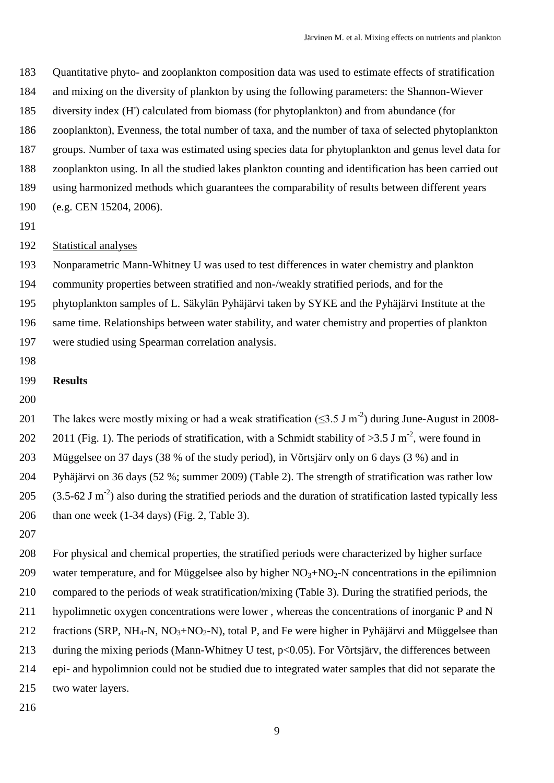Quantitative phyto- and zooplankton composition data was used to estimate effects of stratification

- and mixing on the diversity of plankton by using the following parameters: the Shannon-Wiever
- diversity index (H') calculated from biomass (for phytoplankton) and from abundance (for

zooplankton), Evenness, the total number of taxa, and the number of taxa of selected phytoplankton

groups. Number of taxa was estimated using species data for phytoplankton and genus level data for

- zooplankton using. In all the studied lakes plankton counting and identification has been carried out
- using harmonized methods which guarantees the comparability of results between different years
- (e.g. CEN 15204, 2006).
- 

## Statistical analyses

Nonparametric Mann-Whitney U was used to test differences in water chemistry and plankton

community properties between stratified and non-/weakly stratified periods, and for the

phytoplankton samples of L. Säkylän Pyhäjärvi taken by SYKE and the Pyhäjärvi Institute at the

same time. Relationships between water stability, and water chemistry and properties of plankton

were studied using Spearman correlation analysis.

### **Results**

201 The lakes were mostly mixing or had a weak stratification  $(\leq 3.5 \text{ J m}^{-2})$  during June-August in 2008-202 2011 (Fig. 1). The periods of stratification, with a Schmidt stability of  $>3.5$  J m<sup>-2</sup>, were found in Müggelsee on 37 days (38 % of the study period), in Võrtsjärv only on 6 days (3 %) and in Pyhäjärvi on 36 days (52 %; summer 2009) (Table 2). The strength of stratification was rather low 205  $(3.5-62 \text{ J m}^2)$  also during the stratified periods and the duration of stratification lasted typically less 206 than one week  $(1-34 \text{ days})$  (Fig. 2, Table 3).

 For physical and chemical properties, the stratified periods were characterized by higher surface 209 water temperature, and for Müggelsee also by higher  $NO<sub>3</sub>+NO<sub>2</sub>-N$  concentrations in the epilimnion compared to the periods of weak stratification/mixing (Table 3). During the stratified periods, the hypolimnetic oxygen concentrations were lower , whereas the concentrations of inorganic P and N 212 fractions (SRP, NH<sub>4</sub>-N, NO<sub>3</sub>+NO<sub>2</sub>-N), total P, and Fe were higher in Pyhäjärvi and Müggelsee than during the mixing periods (Mann-Whitney U test, p<0.05). For Võrtsjärv, the differences between epi- and hypolimnion could not be studied due to integrated water samples that did not separate the two water layers.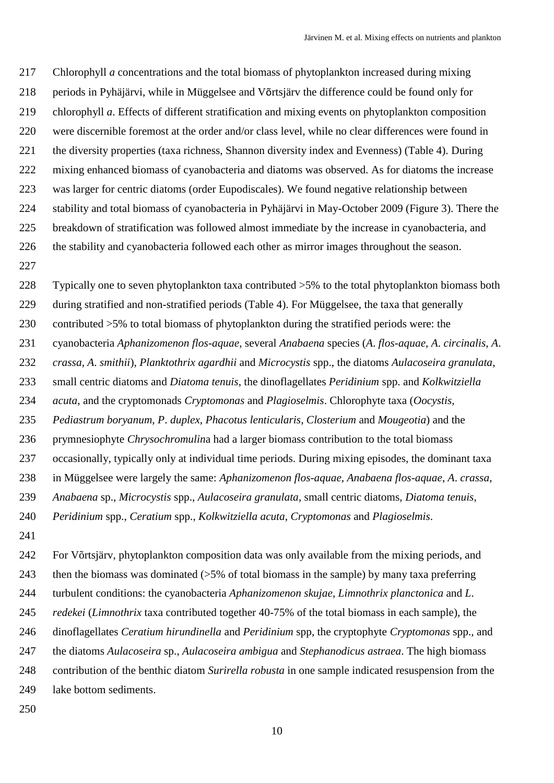Chlorophyll *a* concentrations and the total biomass of phytoplankton increased during mixing periods in Pyhäjärvi, while in Müggelsee and Võrtsjärv the difference could be found only for chlorophyll *a*. Effects of different stratification and mixing events on phytoplankton composition were discernible foremost at the order and/or class level, while no clear differences were found in the diversity properties (taxa richness, Shannon diversity index and Evenness) (Table 4). During mixing enhanced biomass of cyanobacteria and diatoms was observed. As for diatoms the increase was larger for centric diatoms (order Eupodiscales). We found negative relationship between stability and total biomass of cyanobacteria in Pyhäjärvi in May-October 2009 (Figure 3). There the breakdown of stratification was followed almost immediate by the increase in cyanobacteria, and the stability and cyanobacteria followed each other as mirror images throughout the season.

Typically one to seven phytoplankton taxa contributed >5% to the total phytoplankton biomass both

during stratified and non-stratified periods (Table 4). For Müggelsee, the taxa that generally

contributed >5% to total biomass of phytoplankton during the stratified periods were: the

cyanobacteria *Aphanizomenon flos-aquae*, several *Anabaena* species (*A*. *flos-aquae*, *A*. *circinalis*, *A*.

*crassa*, *A*. *smithii*), *Planktothrix agardhii* and *Microcystis* spp., the diatoms *Aulacoseira granulata*,

small centric diatoms and *Diatoma tenuis*, the dinoflagellates *Peridinium* spp. and *Kolkwitziella* 

*acuta*, and the cryptomonads *Cryptomonas* and *Plagioselmis*. Chlorophyte taxa (*Oocystis*,

*Pediastrum boryanum*, *P*. *duplex*, *Phacotus lenticularis*, *Closterium* and *Mougeotia*) and the

prymnesiophyte *Chrysochromulin*a had a larger biomass contribution to the total biomass

occasionally, typically only at individual time periods. During mixing episodes, the dominant taxa

in Müggelsee were largely the same: *Aphanizomenon flos-aquae*, *Anabaena flos-aquae*, *A*. *crassa*,

*Anabaena* sp., *Microcystis* spp., *Aulacoseira granulata*, small centric diatoms, *Diatoma tenuis*,

*Peridinium* spp., *Ceratium* spp., *Kolkwitziella acuta*, *Cryptomonas* and *Plagioselmis*.

 For Võrtsjärv, phytoplankton composition data was only available from the mixing periods, and then the biomass was dominated (>5% of total biomass in the sample) by many taxa preferring turbulent conditions: the cyanobacteria *Aphanizomenon skujae*, *Limnothrix planctonica* and *L*. *redekei* (*Limnothrix* taxa contributed together 40-75% of the total biomass in each sample), the dinoflagellates *Ceratium hirundinella* and *Peridinium* spp, the cryptophyte *Cryptomonas* spp., and the diatoms *Aulacoseira* sp., *Aulacoseira ambigua* and *Stephanodicus astraea*. The high biomass contribution of the benthic diatom *Surirella robusta* in one sample indicated resuspension from the lake bottom sediments.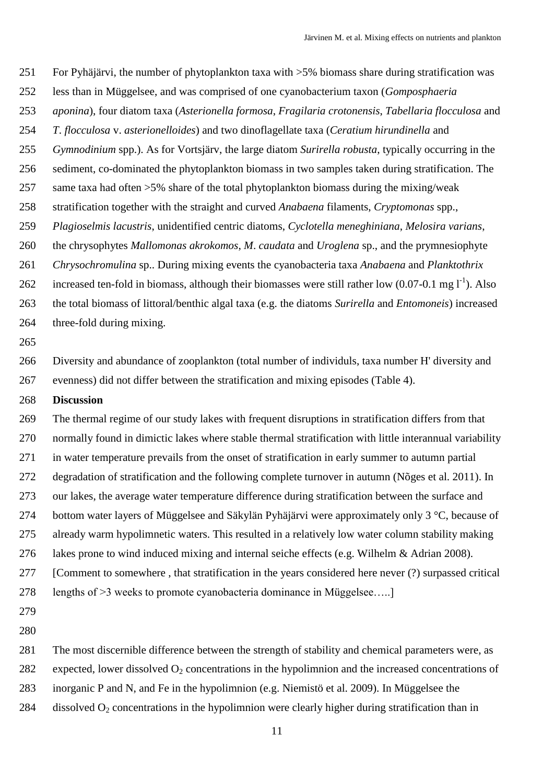- For Pyhäjärvi, the number of phytoplankton taxa with >5% biomass share during stratification was
- less than in Müggelsee, and was comprised of one cyanobacterium taxon (*Gomposphaeria*
- *aponina*), four diatom taxa (*Asterionella formosa*, *Fragilaria crotonensis*, *Tabellaria flocculosa* and
- *T*. *flocculosa* v. *asterionelloides*) and two dinoflagellate taxa (*Ceratium hirundinella* and
- *Gymnodinium* spp.). As for Vortsjärv, the large diatom *Surirella robusta*, typically occurring in the
- sediment, co-dominated the phytoplankton biomass in two samples taken during stratification. The
- same taxa had often >5% share of the total phytoplankton biomass during the mixing/weak
- stratification together with the straight and curved *Anabaena* filaments, *Cryptomonas* spp.,
- *Plagioselmis lacustris*, unidentified centric diatoms, *Cyclotella meneghiniana*, *Melosira varians*,
- the chrysophytes *Mallomonas akrokomos*, *M*. *caudata* and *Uroglena* sp., and the prymnesiophyte
- *Chrysochromulina* sp.. During mixing events the cyanobacteria taxa *Anabaena* and *Planktothrix*
- 262 increased ten-fold in biomass, although their biomasses were still rather low  $(0.07-0.1 \text{ mg l}^{-1})$ . Also
- the total biomass of littoral/benthic algal taxa (e.g. the diatoms *Surirella* and *Entomoneis*) increased
- three-fold during mixing.
- 

 Diversity and abundance of zooplankton (total number of individuls, taxa number H' diversity and evenness) did not differ between the stratification and mixing episodes (Table 4).

**Discussion**

 The thermal regime of our study lakes with frequent disruptions in stratification differs from that normally found in dimictic lakes where stable thermal stratification with little interannual variability in water temperature prevails from the onset of stratification in early summer to autumn partial degradation of stratification and the following complete turnover in autumn (Nõges et al. 2011). In our lakes, the average water temperature difference during stratification between the surface and bottom water layers of Müggelsee and Säkylän Pyhäjärvi were approximately only 3 °C, because of already warm hypolimnetic waters. This resulted in a relatively low water column stability making lakes prone to wind induced mixing and internal seiche effects (e.g. Wilhelm & Adrian 2008). [Comment to somewhere , that stratification in the years considered here never (?) surpassed critical

- lengths of >3 weeks to promote cyanobacteria dominance in Müggelsee…..]
- 
- 
- The most discernible difference between the strength of stability and chemical parameters were, as
- 282 expected, lower dissolved  $O_2$  concentrations in the hypolimnion and the increased concentrations of
- inorganic P and N, and Fe in the hypolimnion (e.g. Niemistö et al. 2009). In Müggelsee the
- 284 dissolved  $O_2$  concentrations in the hypolimnion were clearly higher during stratification than in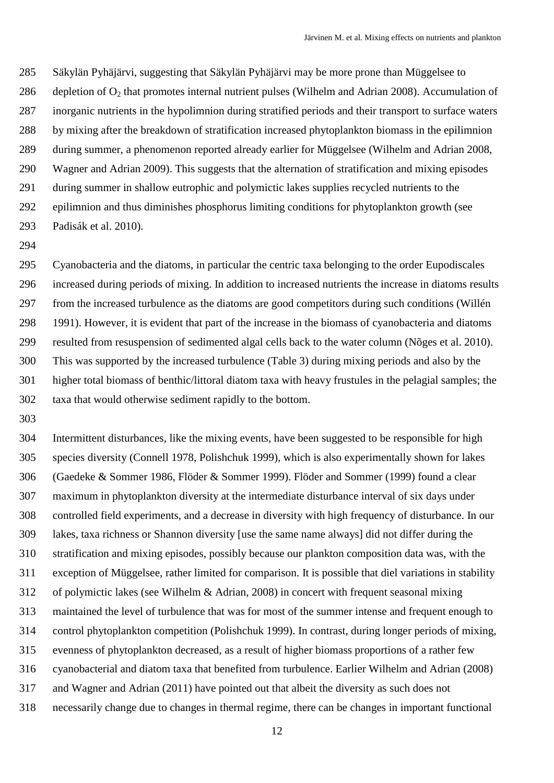Säkylän Pyhäjärvi, suggesting that Säkylän Pyhäjärvi may be more prone than Müggelsee to 286 depletion of  $O_2$  that promotes internal nutrient pulses (Wilhelm and Adrian 2008). Accumulation of inorganic nutrients in the hypolimnion during stratified periods and their transport to surface waters by mixing after the breakdown of stratification increased phytoplankton biomass in the epilimnion during summer, a phenomenon reported already earlier for Müggelsee (Wilhelm and Adrian 2008, Wagner and Adrian 2009). This suggests that the alternation of stratification and mixing episodes during summer in shallow eutrophic and polymictic lakes supplies recycled nutrients to the epilimnion and thus diminishes phosphorus limiting conditions for phytoplankton growth (see Padisák et al. 2010).

 Cyanobacteria and the diatoms, in particular the centric taxa belonging to the order Eupodiscales increased during periods of mixing. In addition to increased nutrients the increase in diatoms results from the increased turbulence as the diatoms are good competitors during such conditions (Willén 1991). However, it is evident that part of the increase in the biomass of cyanobacteria and diatoms resulted from resuspension of sedimented algal cells back to the water column (Nõges et al. 2010). This was supported by the increased turbulence (Table 3) during mixing periods and also by the higher total biomass of benthic/littoral diatom taxa with heavy frustules in the pelagial samples; the taxa that would otherwise sediment rapidly to the bottom.

 Intermittent disturbances, like the mixing events, have been suggested to be responsible for high species diversity (Connell 1978, Polishchuk 1999), which is also experimentally shown for lakes (Gaedeke & Sommer 1986, Flöder & Sommer 1999). Flöder and Sommer (1999) found a clear maximum in phytoplankton diversity at the intermediate disturbance interval of six days under controlled field experiments, and a decrease in diversity with high frequency of disturbance. In our lakes, taxa richness or Shannon diversity [use the same name always] did not differ during the stratification and mixing episodes, possibly because our plankton composition data was, with the exception of Müggelsee, rather limited for comparison. It is possible that diel variations in stability of polymictic lakes (see Wilhelm & Adrian, 2008) in concert with frequent seasonal mixing maintained the level of turbulence that was for most of the summer intense and frequent enough to control phytoplankton competition (Polishchuk 1999). In contrast, during longer periods of mixing, evenness of phytoplankton decreased, as a result of higher biomass proportions of a rather few cyanobacterial and diatom taxa that benefited from turbulence. Earlier Wilhelm and Adrian (2008) and Wagner and Adrian (2011) have pointed out that albeit the diversity as such does not necessarily change due to changes in thermal regime, there can be changes in important functional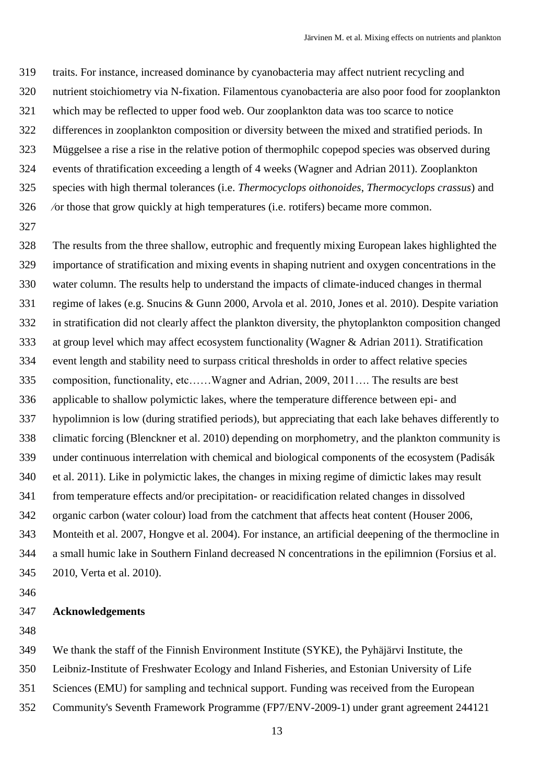traits. For instance, increased dominance by cyanobacteria may affect nutrient recycling and nutrient stoichiometry via N-fixation. Filamentous cyanobacteria are also poor food for zooplankton which may be reflected to upper food web. Our zooplankton data was too scarce to notice differences in zooplankton composition or diversity between the mixed and stratified periods. In Müggelsee a rise a rise in the relative potion of thermophilc copepod species was observed during events of thratification exceeding a length of 4 weeks (Wagner and Adrian 2011). Zooplankton species with high thermal tolerances (i.e. *Thermocyclops oithonoides*, *Thermocyclops crassus*) and ⁄or those that grow quickly at high temperatures (i.e. rotifers) became more common.

 The results from the three shallow, eutrophic and frequently mixing European lakes highlighted the importance of stratification and mixing events in shaping nutrient and oxygen concentrations in the water column. The results help to understand the impacts of climate-induced changes in thermal regime of lakes (e.g. Snucins & Gunn 2000, Arvola et al. 2010, Jones et al. 2010). Despite variation in stratification did not clearly affect the plankton diversity, the phytoplankton composition changed at group level which may affect ecosystem functionality (Wagner & Adrian 2011). Stratification event length and stability need to surpass critical thresholds in order to affect relative species composition, functionality, etc……Wagner and Adrian, 2009, 2011…. The results are best applicable to shallow polymictic lakes, where the temperature difference between epi- and hypolimnion is low (during stratified periods), but appreciating that each lake behaves differently to climatic forcing (Blenckner et al. 2010) depending on morphometry, and the plankton community is under continuous interrelation with chemical and biological components of the ecosystem (Padisák et al. 2011). Like in polymictic lakes, the changes in mixing regime of dimictic lakes may result from temperature effects and/or precipitation- or reacidification related changes in dissolved organic carbon (water colour) load from the catchment that affects heat content (Houser 2006, Monteith et al. 2007, Hongve et al. 2004). For instance, an artificial deepening of the thermocline in a small humic lake in Southern Finland decreased N concentrations in the epilimnion (Forsius et al. 2010, Verta et al. 2010).

#### **Acknowledgements**

We thank the staff of the Finnish Environment Institute (SYKE), the Pyhäjärvi Institute, the

Leibniz-Institute of Freshwater Ecology and Inland Fisheries, and Estonian University of Life

Sciences (EMU) for sampling and technical support. Funding was received from the European

Community's Seventh Framework Programme (FP7/ENV-2009-1) under grant agreement 244121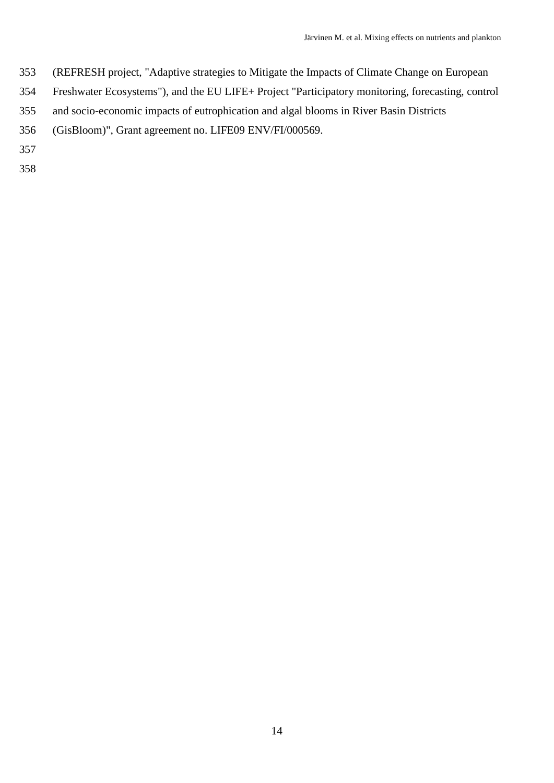- (REFRESH project, "Adaptive strategies to Mitigate the Impacts of Climate Change on European
- Freshwater Ecosystems"), and the EU LIFE+ Project "Participatory monitoring, forecasting, control
- and socio-economic impacts of eutrophication and algal blooms in River Basin Districts
- (GisBloom)", Grant agreement no. LIFE09 ENV/FI/000569.
- 
-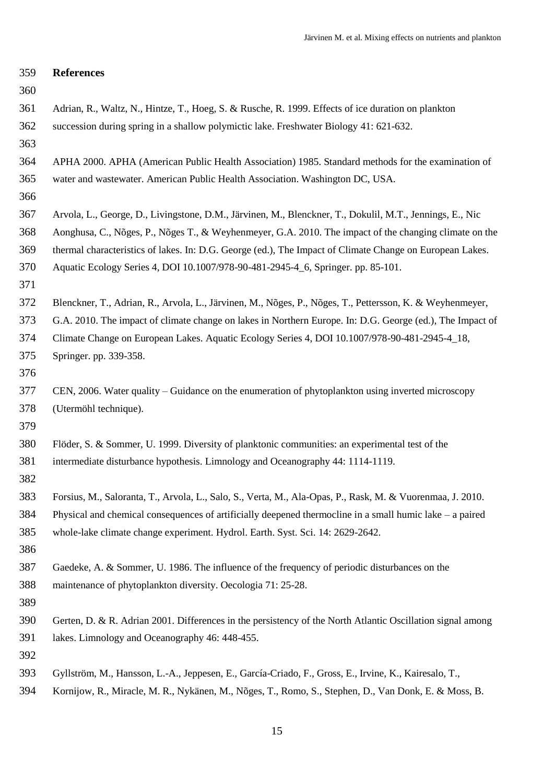| 359 | <b>References</b>                                                                                          |
|-----|------------------------------------------------------------------------------------------------------------|
| 360 |                                                                                                            |
| 361 | Adrian, R., Waltz, N., Hintze, T., Hoeg, S. & Rusche, R. 1999. Effects of ice duration on plankton         |
| 362 | succession during spring in a shallow polymictic lake. Freshwater Biology 41: 621-632.                     |
| 363 |                                                                                                            |
| 364 | APHA 2000. APHA (American Public Health Association) 1985. Standard methods for the examination of         |
| 365 | water and wastewater. American Public Health Association. Washington DC, USA.                              |
| 366 |                                                                                                            |
| 367 | Arvola, L., George, D., Livingstone, D.M., Järvinen, M., Blenckner, T., Dokulil, M.T., Jennings, E., Nic   |
| 368 | Aonghusa, C., Nõges, P., Nõges T., & Weyhenmeyer, G.A. 2010. The impact of the changing climate on the     |
| 369 | thermal characteristics of lakes. In: D.G. George (ed.), The Impact of Climate Change on European Lakes.   |
| 370 | Aquatic Ecology Series 4, DOI 10.1007/978-90-481-2945-4_6, Springer. pp. 85-101.                           |
| 371 |                                                                                                            |
| 372 | Blenckner, T., Adrian, R., Arvola, L., Järvinen, M., Nõges, P., Nõges, T., Pettersson, K. & Weyhenmeyer,   |
| 373 | G.A. 2010. The impact of climate change on lakes in Northern Europe. In: D.G. George (ed.), The Impact of  |
| 374 | Climate Change on European Lakes. Aquatic Ecology Series 4, DOI 10.1007/978-90-481-2945-4_18,              |
| 375 | Springer. pp. 339-358.                                                                                     |
| 376 |                                                                                                            |
| 377 | CEN, 2006. Water quality – Guidance on the enumeration of phytoplankton using inverted microscopy          |
| 378 | (Utermöhl technique).                                                                                      |
| 379 |                                                                                                            |
| 380 | Flöder, S. & Sommer, U. 1999. Diversity of planktonic communities: an experimental test of the             |
| 381 | intermediate disturbance hypothesis. Limnology and Oceanography 44: 1114-1119.                             |
| 382 |                                                                                                            |
| 383 | Forsius, M., Saloranta, T., Arvola, L., Salo, S., Verta, M., Ala-Opas, P., Rask, M. & Vuorenmaa, J. 2010.  |
| 384 | Physical and chemical consequences of artificially deepened thermocline in a small humic lake $-$ a paired |
| 385 | whole-lake climate change experiment. Hydrol. Earth. Syst. Sci. 14: 2629-2642.                             |
| 386 |                                                                                                            |
| 387 | Gaedeke, A. & Sommer, U. 1986. The influence of the frequency of periodic disturbances on the              |
| 388 | maintenance of phytoplankton diversity. Oecologia 71: 25-28.                                               |
| 389 |                                                                                                            |
| 390 | Gerten, D. & R. Adrian 2001. Differences in the persistency of the North Atlantic Oscillation signal among |
| 391 | lakes. Limnology and Oceanography 46: 448-455.                                                             |
| 392 |                                                                                                            |
| 393 | Gyllström, M., Hansson, L.-A., Jeppesen, E., García-Criado, F., Gross, E., Irvine, K., Kairesalo, T.,      |
| 394 | Kornijow, R., Miracle, M. R., Nykänen, M., Nõges, T., Romo, S., Stephen, D., Van Donk, E. & Moss, B.       |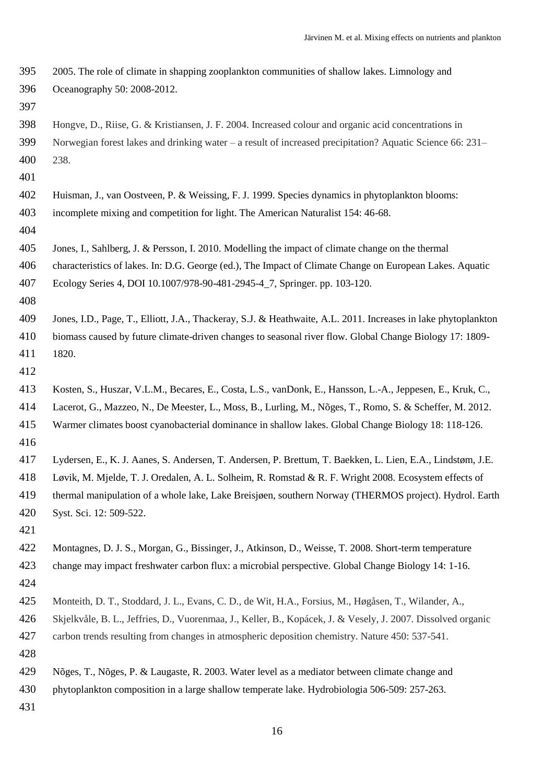2005. The role of climate in shapping zooplankton communities of shallow lakes. Limnology and Oceanography 50: 2008-2012. Hongve, D., Riise, G. & Kristiansen, J. F. 2004. Increased colour and organic acid concentrations in Norwegian forest lakes and drinking water – a result of increased precipitation? Aquatic Science 66: 231– 238. Huisman, J., van Oostveen, P. & Weissing, F. J. 1999. Species dynamics in phytoplankton blooms: incomplete mixing and competition for light. The American Naturalist 154: 46-68. Jones, I., Sahlberg, J. & Persson, I. 2010. Modelling the impact of climate change on the thermal characteristics of lakes. In: D.G. George (ed.), The Impact of Climate Change on European Lakes. Aquatic Ecology Series 4, DOI 10.1007/978-90-481-2945-4\_7, Springer. pp. 103-120. Jones, I.D., Page, T., Elliott, J.A., Thackeray, S.J. & Heathwaite, A.L. 2011. Increases in lake phytoplankton biomass caused by future climate-driven changes to seasonal river flow. Global Change Biology 17: 1809- 1820. Kosten, S., Huszar, V.L.M., Becares, E., Costa, L.S., vanDonk, E., Hansson, L.-A., Jeppesen, E., Kruk, C., Lacerot, G., Mazzeo, N., De Meester, L., Moss, B., Lurling, M., Nõges, T., Romo, S. & Scheffer, M. 2012. Warmer climates boost cyanobacterial dominance in shallow lakes. Global Change Biology 18: 118-126. Lydersen, E., K. J. Aanes, S. Andersen, T. Andersen, P. Brettum, T. Baekken, L. Lien, E.A., Lindstøm, J.E. Løvik, M. Mjelde, T. J. Oredalen, A. L. Solheim, R. Romstad & R. F. Wright 2008. Ecosystem effects of thermal manipulation of a whole lake, Lake Breisjøen, southern Norway (THERMOS project). Hydrol. Earth Syst. Sci. 12: 509-522. Montagnes, D. J. S., Morgan, G., Bissinger, J., Atkinson, D., Weisse, T. 2008. Short-term temperature change may impact freshwater carbon flux: a microbial perspective. Global Change Biology 14: 1-16. Monteith, D. T., Stoddard, J. L., Evans, C. D., de Wit, H.A., Forsius, M., Høgåsen, T., Wilander, A., Skjelkvåle, B. L., Jeffries, D., Vuorenmaa, J., Keller, B., Kopácek, J. & Vesely, J. 2007. Dissolved organic carbon trends resulting from changes in atmospheric deposition chemistry. Nature 450: 537-541. Nõges, T., Nõges, P. & Laugaste, R. 2003. Water level as a mediator between climate change and phytoplankton composition in a large shallow temperate lake. Hydrobiologia 506-509: 257-263.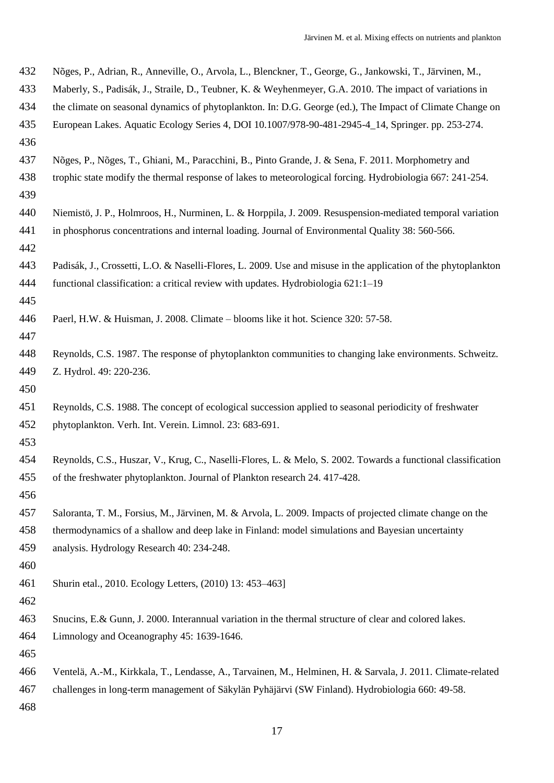| 432 | Nõges, P., Adrian, R., Anneville, O., Arvola, L., Blenckner, T., George, G., Jankowski, T., Järvinen, M.,      |
|-----|----------------------------------------------------------------------------------------------------------------|
| 433 | Maberly, S., Padisák, J., Straile, D., Teubner, K. & Weyhenmeyer, G.A. 2010. The impact of variations in       |
| 434 | the climate on seasonal dynamics of phytoplankton. In: D.G. George (ed.), The Impact of Climate Change on      |
| 435 | European Lakes. Aquatic Ecology Series 4, DOI 10.1007/978-90-481-2945-4_14, Springer. pp. 253-274.             |
| 436 |                                                                                                                |
| 437 | Nõges, P., Nõges, T., Ghiani, M., Paracchini, B., Pinto Grande, J. & Sena, F. 2011. Morphometry and            |
| 438 | trophic state modify the thermal response of lakes to meteorological forcing. Hydrobiologia 667: 241-254.      |
| 439 |                                                                                                                |
| 440 | Niemistö, J. P., Holmroos, H., Nurminen, L. & Horppila, J. 2009. Resuspension-mediated temporal variation      |
| 441 | in phosphorus concentrations and internal loading. Journal of Environmental Quality 38: 560-566.               |
| 442 |                                                                                                                |
| 443 | Padisák, J., Crossetti, L.O. & Naselli-Flores, L. 2009. Use and misuse in the application of the phytoplankton |
| 444 | functional classification: a critical review with updates. Hydrobiologia 621:1-19                              |
| 445 |                                                                                                                |
| 446 | Paerl, H.W. & Huisman, J. 2008. Climate – blooms like it hot. Science 320: 57-58.                              |
| 447 |                                                                                                                |
| 448 | Reynolds, C.S. 1987. The response of phytoplankton communities to changing lake environments. Schweitz.        |
| 449 | Z. Hydrol. 49: 220-236.                                                                                        |
| 450 |                                                                                                                |
| 451 | Reynolds, C.S. 1988. The concept of ecological succession applied to seasonal periodicity of freshwater        |
| 452 | phytoplankton. Verh. Int. Verein. Limnol. 23: 683-691.                                                         |
| 453 |                                                                                                                |
| 454 | Reynolds, C.S., Huszar, V., Krug, C., Naselli-Flores, L. & Melo, S. 2002. Towards a functional classification  |
| 455 | of the freshwater phytoplankton. Journal of Plankton research 24. 417-428.                                     |
| 456 |                                                                                                                |
| 457 | Saloranta, T. M., Forsius, M., Järvinen, M. & Arvola, L. 2009. Impacts of projected climate change on the      |
| 458 | thermodynamics of a shallow and deep lake in Finland: model simulations and Bayesian uncertainty               |
| 459 | analysis. Hydrology Research 40: 234-248.                                                                      |
| 460 |                                                                                                                |
| 461 | Shurin etal., 2010. Ecology Letters, (2010) 13: 453-463]                                                       |
| 462 |                                                                                                                |
| 463 | Snucins, E.& Gunn, J. 2000. Interannual variation in the thermal structure of clear and colored lakes.         |
| 464 | Limnology and Oceanography 45: 1639-1646.                                                                      |
| 465 |                                                                                                                |
| 466 | Ventelä, A.-M., Kirkkala, T., Lendasse, A., Tarvainen, M., Helminen, H. & Sarvala, J. 2011. Climate-related    |
| 467 | challenges in long-term management of Säkylän Pyhäjärvi (SW Finland). Hydrobiologia 660: 49-58.                |
| 468 |                                                                                                                |
|     |                                                                                                                |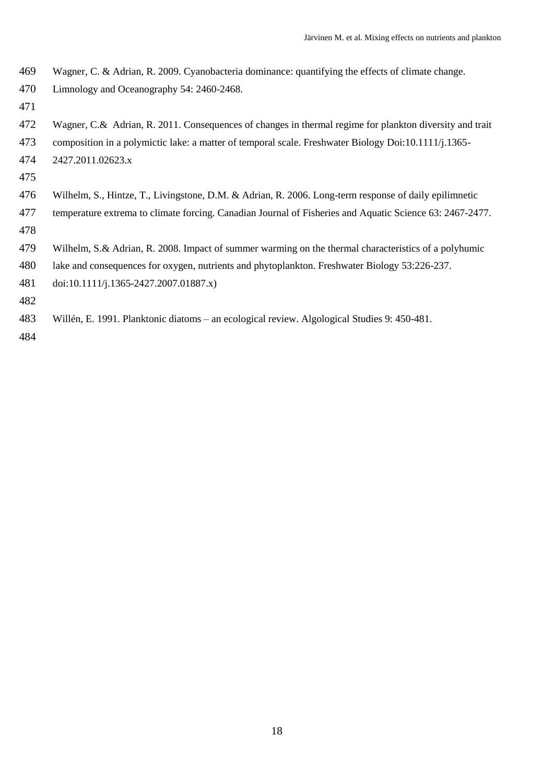- Wagner, C. & Adrian, R. 2009. Cyanobacteria dominance: quantifying the effects of climate change.
- Limnology and Oceanography 54: 2460-2468.
- 
- Wagner, C.& Adrian, R. 2011. Consequences of changes in thermal regime for plankton diversity and trait
- composition in a polymictic lake: a matter of temporal scale. Freshwater Biology Doi:10.1111/j.1365-
- 2427.2011.02623.x
- 
- Wilhelm, S., Hintze, T., Livingstone, D.M. & Adrian, R. 2006. Long-term response of daily epilimnetic
- temperature extrema to climate forcing. Canadian Journal of Fisheries and Aquatic Science 63: 2467-2477.
- 
- Wilhelm, S.& Adrian, R. 2008. Impact of summer warming on the thermal characteristics of a polyhumic
- lake and consequences for oxygen, nutrients and phytoplankton. Freshwater Biology 53:226-237.
- doi:10.1111/j.1365-2427.2007.01887.x)
- 
- Willén, E. 1991. Planktonic diatoms an ecological review. Algological Studies 9: 450-481.
-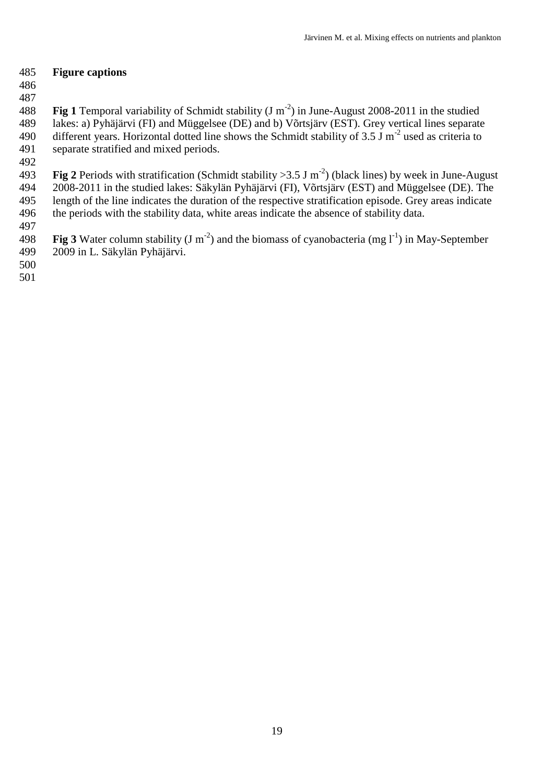## **Figure captions**

 

**Fig 1** Temporal variability of Schmidt stability  $(J m<sup>-2</sup>)$  in June-August 2008-2011 in the studied lakes: a) Pyhäjärvi (FI) and Müggelsee (DE) and b) Võrtsjärv (EST). Grey vertical lines separate 490 different years. Horizontal dotted line shows the Schmidt stability of  $3.5 \text{ J m}^{-2}$  used as criteria to separate stratified and mixed periods.

493 **Fig 2** Periods with stratification (Schmidt stability  $> 3.5$  J m<sup>-2</sup>) (black lines) by week in June-August 2008-2011 in the studied lakes: Säkylän Pyhäjärvi (FI), Võrtsjärv (EST) and Müggelsee (DE). The length of the line indicates the duration of the respective stratification episode. Grey areas indicate

- the periods with the stability data, white areas indicate the absence of stability data.
- 

498 **Fig 3** Water column stability (J m<sup>-2</sup>) and the biomass of cyanobacteria (mg  $1^{-1}$ ) in May-September 2009 in L. Säkylän Pyhäjärvi.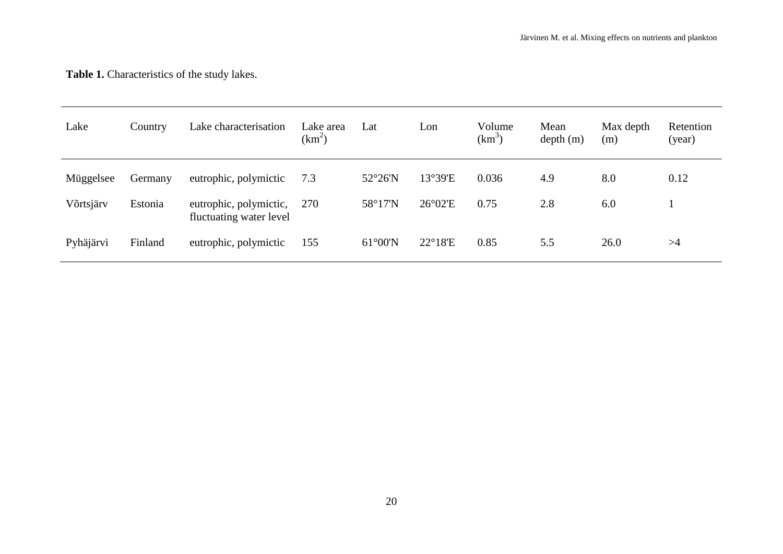# **Table 1.** Characteristics of the study lakes.

| Lake      | Country | Lake characterisation                             | Lake area<br>$(km^2)$ | Lon<br>Lat        |                  | Volume<br>$(km^3)$ | Mean<br>depth(m) | Max depth<br>(m) | Retention<br>(year) |
|-----------|---------|---------------------------------------------------|-----------------------|-------------------|------------------|--------------------|------------------|------------------|---------------------|
| Müggelsee | Germany | eutrophic, polymictic                             | 7.3                   | $52^{\circ}26'$ N | 13°39'E          | 0.036              | 4.9              | 8.0              | 0.12                |
| Võrtsjärv | Estonia | eutrophic, polymictic,<br>fluctuating water level | 270                   | 58°17'N           | $26^{\circ}02'E$ | 0.75               | 2.8              | 6.0              |                     |
| Pyhäjärvi | Finland | eutrophic, polymictic                             | 155                   | $61^{\circ}00'$ N | $22^{\circ}18'E$ | 0.85               | 5.5              | 26.0             | >4                  |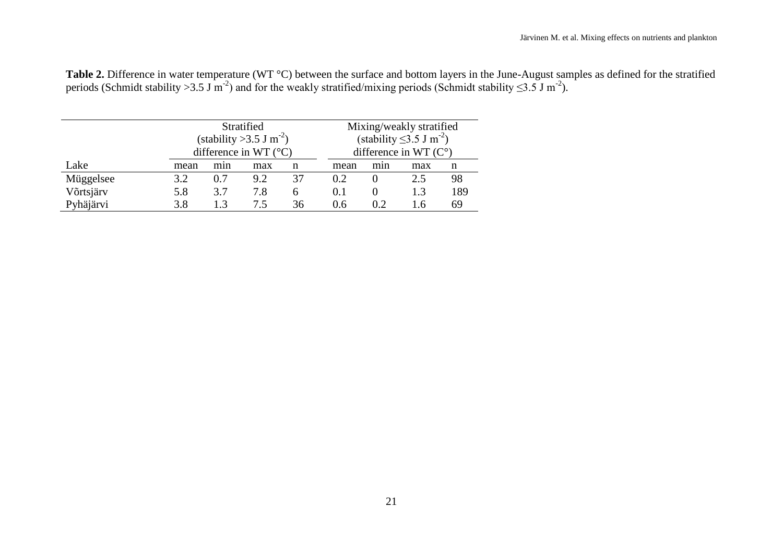| Table 2. Difference in water temperature (WT °C) between the surface and bottom layers in the June-August samples as defined for the stratified      |  |
|------------------------------------------------------------------------------------------------------------------------------------------------------|--|
| periods (Schmidt stability > 3.5 J m <sup>-2</sup> ) and for the weakly stratified/mixing periods (Schmidt stability $\leq$ 3.5 J m <sup>-2</sup> ). |  |

|           |      | Stratified<br>(stability > 3.5 J m <sup>-2</sup> )<br>difference in WT $(^{\circ}C)$ |     |    | Mixing/weakly stratified<br>(stability $\leq$ 3.5 J m <sup>-2</sup> )<br>difference in WT $(C^{\circ})$ |     |     |     |  |  |  |  |  |
|-----------|------|--------------------------------------------------------------------------------------|-----|----|---------------------------------------------------------------------------------------------------------|-----|-----|-----|--|--|--|--|--|
| Lake      | mean | min                                                                                  | max | n  | mean                                                                                                    | min | max | n   |  |  |  |  |  |
| Müggelsee | 3.2  | 0.7                                                                                  | 9.2 | 37 | 0.2                                                                                                     |     | 2.5 | 98  |  |  |  |  |  |
| Võrtsjärv | 5.8  | 3.7                                                                                  | 7.8 | 6  | 0.1                                                                                                     |     | 1.3 | 189 |  |  |  |  |  |
| Pyhäjärvi | 3.8  | 13                                                                                   | 7.5 | 36 | 0.6                                                                                                     | 0.2 | I.6 | 69  |  |  |  |  |  |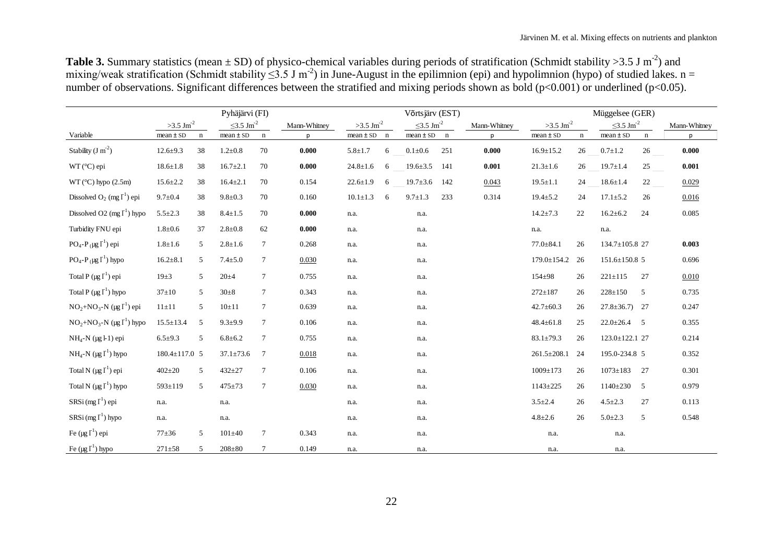**Table 3.** Summary statistics (mean  $\pm$  SD) of physico-chemical variables during periods of stratification (Schmidt stability >3.5 J m<sup>-2</sup>) and number of observations. Significant differences between the stratified and mixing periods shown as bold (p<0.001) or underlined (p<0.05).

|                                                              |                        |             | Pyhäjärvi (FI)              |                 |              | Võrtsjärv (EST)         |             |                             |             |              |                        |             | Müggelsee (GER)             |             |              |
|--------------------------------------------------------------|------------------------|-------------|-----------------------------|-----------------|--------------|-------------------------|-------------|-----------------------------|-------------|--------------|------------------------|-------------|-----------------------------|-------------|--------------|
|                                                              | $>3.5 \text{ Jm}^{-2}$ |             | $\leq$ 3.5 Jm <sup>-2</sup> |                 | Mann-Whitney | $>3.5$ Jm <sup>-2</sup> |             | $\leq$ 3.5 Jm <sup>-2</sup> |             | Mann-Whitney | $>3.5 \text{ Jm}^{-2}$ |             | $\leq$ 3.5 Jm <sup>-2</sup> |             | Mann-Whitney |
| Variable                                                     | $mean \pm SD$          | $\mathbf n$ | $mean \pm SD$               | $\mathbf n$     | D            | $mean \pm SD$           | $\mathbf n$ | $mean \pm SD$               | $\mathbf n$ | D            | $mean \pm SD$          | $\mathbf n$ | $mean \pm SD$               | $\mathbf n$ | p            |
| Stability $(J m^2)$                                          | $12.6 \pm 9.3$         | 38          | $1.2 \pm 0.8$               | 70              | 0.000        | $5.8 \pm 1.7$           | 6           | $0.1 \pm 0.6$               | 251         | 0.000        | $16.9 \pm 15.2$        | 26          | $0.7 \pm 1.2$               | 26          | 0.000        |
| $WT (°C)$ epi                                                | $18.6 \pm 1.8$         | 38          | $16.7 \pm 2.1$              | 70              | 0.000        | $24.8 \pm 1.6$          | 6           | $19.6 \pm 3.5$              | 141         | 0.001        | $21.3 \pm 1.6$         | 26          | $19.7 \pm 1.4$              | 25          | 0.001        |
| $WT (°C)$ hypo $(2.5m)$                                      | $15.6 \pm 2.2$         | 38          | $16.4 \pm 2.1$              | 70              | 0.154        | $22.6 \pm 1.9$          | 6           | $19.7 \pm 3.6$              | 142         | 0.043        | $19.5 \pm 1.1$         | 24          | $18.6 \pm 1.4$              | 22          | 0.029        |
| Dissolved $O_2$ (mg $I^1$ ) epi                              | $9.7 \pm 0.4$          | 38          | $9.8 \pm 0.3$               | 70              | 0.160        | $10.1 \pm 1.3$          | 6           | $9.7 \pm 1.3$               | 233         | 0.314        | $19.4 \pm 5.2$         | 24          | $17.1 \pm 5.2$              | 26          | 0.016        |
| Dissolved O2 $(mg I1)$ hypo                                  | $5.5 \pm 2.3$          | 38          | $8.4 \pm 1.5$               | 70              | 0.000        | n.a.                    |             | n.a.                        |             |              | $14.2 \pm 7.3$         | 22          | $16.2 \pm 6.2$              | 24          | 0.085        |
| Turbidity FNU epi                                            | $1.8 \pm 0.6$          | 37          | $2.8 \pm 0.8$               | 62              | 0.000        | n.a.                    |             | n.a.                        |             |              | n.a.                   |             | n.a.                        |             |              |
| PO <sub>4</sub> -P <sub>(</sub> $\mu$ g I <sup>1</sup> ) epi | $1.8 \pm 1.6$          | 5           | $2.8 \pm 1.6$               | 7               | 0.268        | n.a.                    |             | n.a.                        |             |              | $77.0 \pm 84.1$        | 26          | 134.7±105.8 27              |             | 0.003        |
| $PO_4$ - $P_({\mu g I}^1)$ hypo                              | $16.2 \pm 8.1$         | 5           | $7.4 \pm 5.0$               | 7               | 0.030        | n.a.                    |             | n.a.                        |             |              | $179.0 \pm 154.2$      | 26          | $151.6 \pm 150.8$ 5         |             | 0.696        |
| Total P $(\mu g \, \Gamma^1)$ epi                            | $19\pm3$               | 5           | $20 + 4$                    | $\tau$          | 0.755        | n.a.                    |             | n.a.                        |             |              | 154±98                 | 26          | $221 \pm 115$               | 27          | 0.010        |
| Total P $(\mu g \, \Gamma^1)$ hypo                           | $37 \pm 10$            | 5           | $30+8$                      | $\tau$          | 0.343        | n.a.                    |             | n.a.                        |             |              | $272 \pm 187$          | 26          | $228 \pm 150$               | 5           | 0.735        |
| $NO2+NO3-N (µg1)$ epi                                        | $11\pm11$              | 5           | $10 \pm 11$                 | 7               | 0.639        | n.a.                    |             | n.a.                        |             |              | $42.7 \pm 60.3$        | 26          | $27.8 \pm 36.7$ 27          |             | 0.247        |
| $NO2+NO3-N$ (µg $I1$ ) hypo                                  | $15.5 \pm 13.4$        | 5           | $9.3 \pm 9.9$               | 7               | 0.106        | n.a.                    |             | n.a.                        |             |              | $48.4 \pm 61.8$        | 25          | $22.0 \pm 26.4$ 5           |             | 0.355        |
| $NH_4-N$ (µg l-1) epi                                        | $6.5 \pm 9.3$          | 5           | $6.8{\pm}6.2$               | 7               | 0.755        | n.a.                    |             | n.a.                        |             |              | $83.1 \pm 79.3$        | 26          | 123.0±122.1 27              |             | 0.214        |
| $NH_4-N$ (µg $\Gamma^1$ ) hypo                               | 180.4±117.0 5          |             | $37.1 \pm 73.6$             | $7\phantom{.0}$ | 0.018        | n.a.                    |             | n.a.                        |             |              | $261.5 \pm 208.1$      | 24          | 195.0-234.8 5               |             | 0.352        |
| Total N $(\mu g \Gamma^1)$ epi                               | $402 \pm 20$           | 5           | $432 + 27$                  | 7               | 0.106        | n.a.                    |             | n.a.                        |             |              | $1009 \pm 173$         | 26          | $1073 \pm 183$              | 27          | 0.301        |
| Total N ( $\mu$ g I <sup>1</sup> ) hypo                      | 593±119                | 5           | $475 \pm 73$                | $\tau$          | 0.030        | n.a.                    |             | n.a.                        |             |              | 1143±225               | 26          | $1140 \pm 230$              | 5           | 0.979        |
| $SRSi$ (mg $\lceil \cdot \rceil$ ) epi                       | n.a.                   |             | n.a.                        |                 |              | n.a.                    |             | n.a.                        |             |              | $3.5 \pm 2.4$          | 26          | $4.5 \pm 2.3$               | 27          | 0.113        |
| SRSi $(mg I^1)$ hypo                                         | n.a.                   |             | n.a.                        |                 |              | n.a.                    |             | n.a.                        |             |              | $4.8 \pm 2.6$          | 26          | $5.0 \pm 2.3$               | 5           | 0.548        |
| Fe $(\mu g I^1)$ epi                                         | $77 + 36$              | 5           | $101 \pm 40$                | $\tau$          | 0.343        | n.a.                    |             | n.a.                        |             |              | n.a.                   |             | n.a.                        |             |              |
| Fe $(\mu g I^1)$ hypo                                        | $271 \pm 58$           | 5           | $208 + 80$                  | 7               | 0.149        | n.a.                    |             | n.a.                        |             |              | n.a.                   |             | n.a.                        |             |              |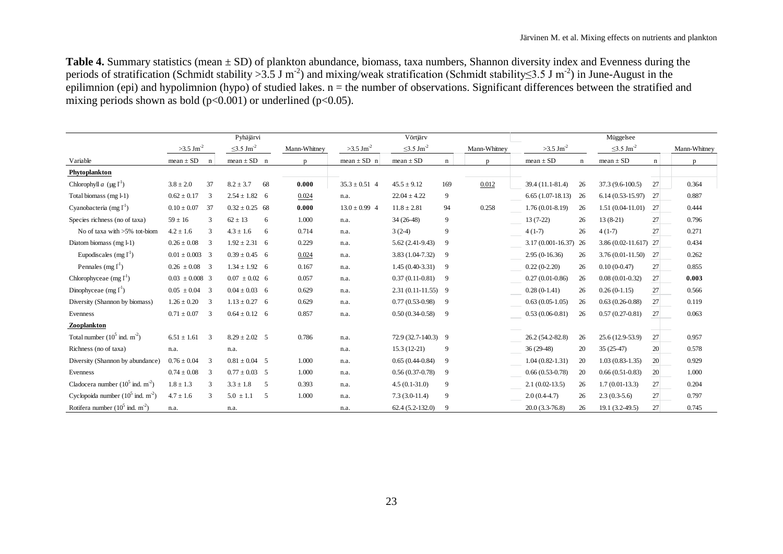**Table 4.** Summary statistics (mean ± SD) of plankton abundance, biomass, taxa numbers, Shannon diversity index and Evenness during the periods of stratification (Schmidt stability > 3.5 J m<sup>-2</sup>) and mixing/weak stratification (Schmidt stability 
lets 3.5 J m<sup>-2</sup>) in June-August in the epilimnion (epi) and hypolimnion (hypo) of studied lakes.  $n =$  the number of observations. Significant differences between the stratified and mixing periods shown as bold ( $p<0.001$ ) or underlined ( $p<0.05$ ).

|                                              |                             |                         | Pyhäjärvi                   |    |              |                         | Vörtjärv                    |                |              | Müggelsee               |             |                             |    |              |  |
|----------------------------------------------|-----------------------------|-------------------------|-----------------------------|----|--------------|-------------------------|-----------------------------|----------------|--------------|-------------------------|-------------|-----------------------------|----|--------------|--|
|                                              | $>3.5 \text{ J} \text{m}^2$ |                         | $\leq$ 3.5 Jm <sup>-2</sup> |    | Mann-Whitney | $>3.5$ Jm <sup>-2</sup> | $\leq$ 3.5 Jm <sup>-2</sup> |                | Mann-Whitney | $>3.5$ Jm <sup>-2</sup> |             | $\leq$ 3.5 Jm <sup>-2</sup> |    | Mann-Whitney |  |
| Variable                                     | $mean \pm SD$               | n                       | $mean \pm SD$ n             |    | D            | $mean \pm SD$ n         | $mean \pm SD$               | n              | p            | $mean \pm SD$           | $\mathbf n$ | $mean \pm SD$               | n  | D            |  |
| Phytoplankton                                |                             |                         |                             |    |              |                         |                             |                |              |                         |             |                             |    |              |  |
| Chlorophyll $a \ (\mu g I^1)$                | $3.8 \pm 2.0$               | 37                      | $8.2 \pm 3.7$               | 68 | 0.000        | $35.3 \pm 0.51$ 4       | $45.5 \pm 9.12$             | 169            | 0.012        | 39.4 (11.1-81.4)        | 26          | 37.3 (9.6-100.5)            | 27 | 0.364        |  |
| Total biomass (mg l-1)                       | $0.62 \pm 0.17$             | 3                       | $2.54 \pm 1.82$ 6           |    | 0.024        | n.a.                    | $22.04 \pm 4.22$            | 9              |              | $6.65(1.07-18.13)$      | 26          | $6.14(0.53-15.97)$          | 27 | 0.887        |  |
| Cyanobacteria (mg $\Gamma^1$ )               | $0.10 \pm 0.07$             | - 37                    | $0.32 \pm 0.25$ 68          |    | 0.000        | $13.0 \pm 0.99$ 4       | $11.8 \pm 2.81$             | 94             | 0.258        | $1.76(0.01-8.19)$       | 26          | $1.51(0.04-11.01)$          | 27 | 0.444        |  |
| Species richness (no of taxa)                | $59 \pm 16$                 | 3                       | $62 \pm 13$                 | 6  | 1.000        | n.a.                    | $34(26-48)$                 | 9              |              | $13(7-22)$              | 26          | $13(8-21)$                  | 27 | 0.796        |  |
| No of taxa with >5% tot-biom                 | $4.2 \pm 1.6$               | 3                       | $4.3 \pm 1.6$               | 6  | 0.714        | n.a.                    | $3(2-4)$                    | 9              |              | $4(1-7)$                | 26          | $4(1-7)$                    | 27 | 0.271        |  |
| Diatom biomass (mg l-1)                      | $0.26 \pm 0.08$             | -3                      | $1.92 \pm 2.31$ 6           |    | 0.229        | n.a.                    | $5.62(2.41-9.43)$           | 9              |              | 3.17 (0.001-16.37) 26   |             | $3.86(0.02 - 11.617)$ 27    |    | 0.434        |  |
| Eupodiscales (mg $l^1$ )                     | $0.01 \pm 0.003$ 3          |                         | $0.39 \pm 0.45$ 6           |    | 0.024        | n.a.                    | $3.83(1.04-7.32)$           | 9              |              | $2.95(0-16.36)$         | 26          | $3.76(0.01-11.50)$          | 27 | 0.262        |  |
| Pennales (mg $\Gamma^1$ )                    | $0.26 \pm 0.08$ 3           |                         | $1.34 \pm 1.92$ 6           |    | 0.167        | n.a.                    | $1.45(0.40-3.31)$           | - 9            |              | $0.22(0-2.20)$          | 26          | $0.10(0-0.47)$              | 27 | 0.855        |  |
| Chlorophyceae (mg $\Gamma^1$ )               | $0.03 \pm 0.008$ 3          |                         | $0.07 \pm 0.02$ 6           |    | 0.057        | n.a.                    | $0.37(0.11-0.81)$           | $\overline{9}$ |              | $0.27(0.01-0.86)$       | 26          | $0.08(0.01-0.32)$           | 27 | 0.003        |  |
| Dinophyceae $(mg I1)$                        | $0.05 \pm 0.04$             | $\overline{\mathbf{3}}$ | $0.04 \pm 0.03$ 6           |    | 0.629        | n.a.                    | $2.31(0.11-11.55)$ 9        |                |              | $0.28(0-1.41)$          | 26          | $0.26(0-1.15)$              | 27 | 0.566        |  |
| Diversity (Shannon by biomass)               | $1.26 \pm 0.20$             | 3                       | $1.13 \pm 0.27$ 6           |    | 0.629        | n.a.                    | $0.77(0.53-0.98)$           | - 9            |              | $0.63(0.05-1.05)$       | 26          | $0.63(0.26-0.88)$           | 27 | 0.119        |  |
| Evenness                                     | $0.71 \pm 0.07$             | $\overline{\mathbf{3}}$ | $0.64 \pm 0.12$ 6           |    | 0.857        | n.a.                    | $0.50(0.34-0.58)$           | - 9            |              | $0.53(0.06-0.81)$       | 26          | $0.57(0.27-0.81)$           | 27 | 0.063        |  |
| Zooplankton                                  |                             |                         |                             |    |              |                         |                             |                |              |                         |             |                             |    |              |  |
| Total number $(10^5 \text{ ind. m}^2)$       | $6.51 \pm 1.61$             | -3                      | $8.29 \pm 2.02$ 5           |    | 0.786        | n.a.                    | 72.9 (32.7-140.3) 9         |                |              | 26.2 (54.2-82.8)        | 26          | 25.6 (12.9-53.9)            | 27 | 0.957        |  |
| Richness (no of taxa)                        | n.a.                        |                         | n.a.                        |    |              | n.a.                    | $15.3(12-21)$               | 9              |              | $36(29-48)$             | 20          | $35(25-47)$                 | 20 | 0.578        |  |
| Diversity (Shannon by abundance)             | $0.76 \pm 0.04$             | -3                      | $0.81 \pm 0.04$ 5           |    | 1.000        | n.a.                    | $0.65(0.44-0.84)$           | 9              |              | $1.04(0.82 - 1.31)$     | 20          | $1.03(0.83-1.35)$           | 20 | 0.929        |  |
| Evenness                                     | $0.74 \pm 0.08$             | -3                      | $0.77 \pm 0.03$ 5           |    | 1.000        | n.a.                    | $0.56(0.37-0.78)$           | 9              |              | $0.66(0.53-0.78)$       | 20          | $0.66(0.51-0.83)$           | 20 | 1.000        |  |
| Cladocera number $(10^5 \text{ ind. m}^2)$   | $1.8 \pm 1.3$               | 3                       | $3.3 \pm 1.8$               | 5  | 0.393        | n.a.                    | $4.5(0.1-31.0)$             | 9              |              | $2.1(0.02-13.5)$        | 26          | $1.7(0.01-13.3)$            | 27 | 0.204        |  |
| Cyclopoida number $(10^5 \text{ ind. m}^2)$  | $4.7 \pm 1.6$               | 3                       | $5.0 \pm 1.1$               | 5  | 1.000        | n.a.                    | $7.3(3.0-11.4)$             | 9              |              | $2.0(0.4-4.7)$          | 26          | $2.3(0.3-5.6)$              | 27 | 0.797        |  |
| Rotifera number $(10^5 \text{ ind. m}^{-2})$ | n.a.                        |                         | n.a.                        |    |              | n.a.                    | $62.4(5.2-132.0)$           | 9              |              | $20.0(3.3-76.8)$        | 26          | 19.1 (3.2-49.5)             | 27 | 0.745        |  |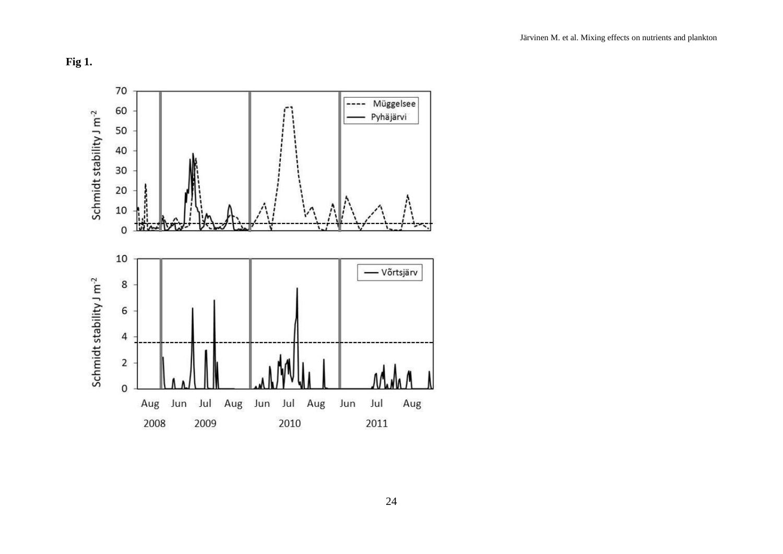## **Fig 1.**

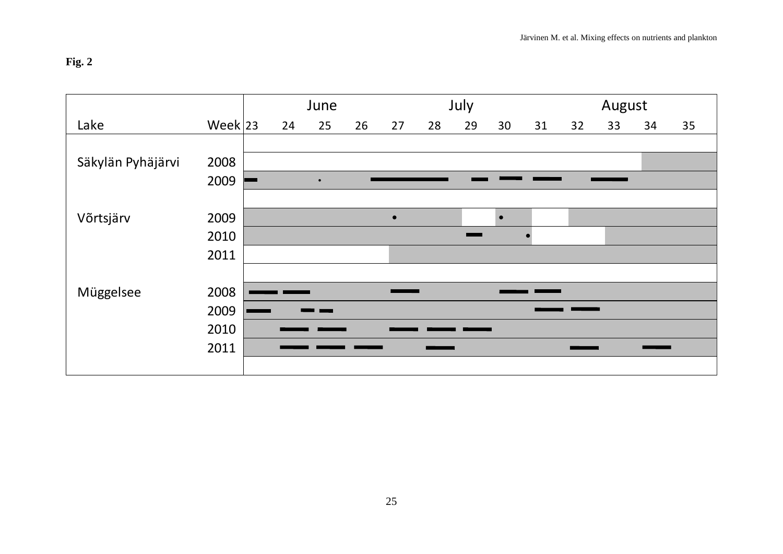# **Fig. 2**

| Fig. 2            |           |    |           |    |           |    |      |           |    |    |        |    | Järvinen M. et al. Mixing effects on nutrients and plankton |
|-------------------|-----------|----|-----------|----|-----------|----|------|-----------|----|----|--------|----|-------------------------------------------------------------|
|                   |           |    | June      |    |           |    | July |           |    |    | August |    |                                                             |
| Lake              | Week $23$ | 24 | 25        | 26 | 27        | 28 | 29   | 30        | 31 | 32 | 33     | 34 | 35                                                          |
|                   |           |    |           |    |           |    |      |           |    |    |        |    |                                                             |
| Säkylän Pyhäjärvi | 2008      |    |           |    |           |    |      |           |    |    |        |    |                                                             |
|                   | 2009      |    | $\bullet$ |    |           |    |      |           |    |    |        |    |                                                             |
|                   |           |    |           |    |           |    |      |           |    |    |        |    |                                                             |
| Võrtsjärv         | 2009      |    |           |    | $\bullet$ |    |      | $\bullet$ |    |    |        |    |                                                             |
|                   | 2010      |    |           |    |           |    |      |           |    |    |        |    |                                                             |
|                   | 2011      |    |           |    |           |    |      |           |    |    |        |    |                                                             |
|                   |           |    |           |    |           |    |      |           |    |    |        |    |                                                             |
| Müggelsee         | 2008      |    |           |    |           |    |      |           |    |    |        |    |                                                             |
|                   | 2009      |    |           |    |           |    |      |           |    |    |        |    |                                                             |
|                   | 2010      |    |           |    |           |    |      |           |    |    |        |    |                                                             |
|                   | 2011      |    |           |    |           |    |      |           |    |    |        |    |                                                             |
|                   |           |    |           |    |           |    |      |           |    |    |        |    |                                                             |